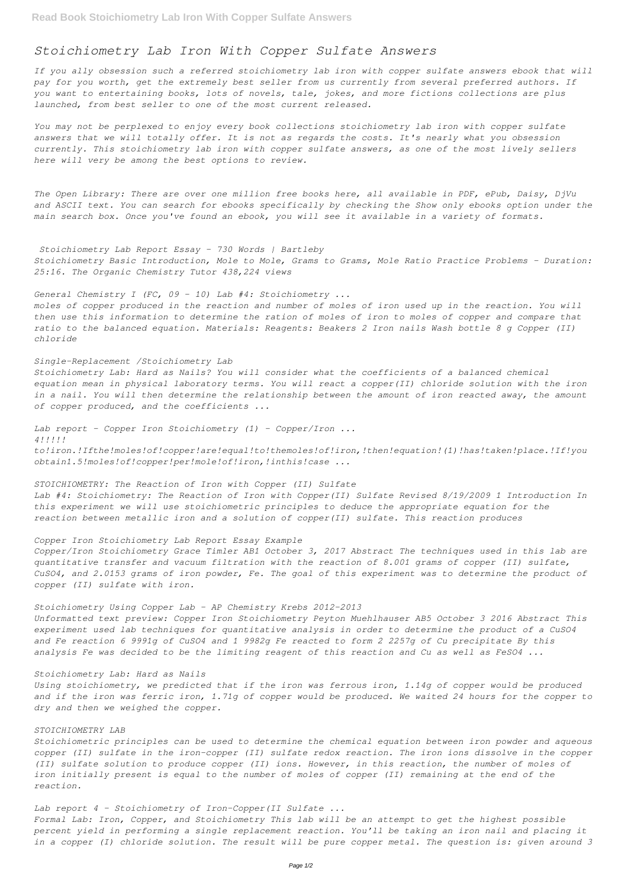# *Stoichiometry Lab Iron With Copper Sulfate Answers*

*If you ally obsession such a referred stoichiometry lab iron with copper sulfate answers ebook that will pay for you worth, get the extremely best seller from us currently from several preferred authors. If you want to entertaining books, lots of novels, tale, jokes, and more fictions collections are plus launched, from best seller to one of the most current released.*

*You may not be perplexed to enjoy every book collections stoichiometry lab iron with copper sulfate answers that we will totally offer. It is not as regards the costs. It's nearly what you obsession currently. This stoichiometry lab iron with copper sulfate answers, as one of the most lively sellers here will very be among the best options to review.*

*The Open Library: There are over one million free books here, all available in PDF, ePub, Daisy, DjVu and ASCII text. You can search for ebooks specifically by checking the Show only ebooks option under the main search box. Once you've found an ebook, you will see it available in a variety of formats.*

*Stoichiometry Lab Report Essay - 730 Words | Bartleby Stoichiometry Basic Introduction, Mole to Mole, Grams to Grams, Mole Ratio Practice Problems - Duration: 25:16. The Organic Chemistry Tutor 438,224 views*

# *General Chemistry I (FC, 09 - 10) Lab #4: Stoichiometry ...*

*moles of copper produced in the reaction and number of moles of iron used up in the reaction. You will then use this information to determine the ration of moles of iron to moles of copper and compare that ratio to the balanced equation. Materials: Reagents: Beakers 2 Iron nails Wash bottle 8 g Copper (II) chloride*

#### *Single-Replacement /Stoichiometry Lab*

*Stoichiometry Lab: Hard as Nails? You will consider what the coefficients of a balanced chemical equation mean in physical laboratory terms. You will react a copper(II) chloride solution with the iron in a nail. You will then determine the relationship between the amount of iron reacted away, the amount of copper produced, and the coefficients ...*

*Lab report - Copper Iron Stoichiometry (1) - Copper/Iron ... 4!!!!! to!iron.!Ifthe!moles!of!copper!are!equal!to!themoles!of!iron,!then!equation!(1)!has!taken!place.!If!you obtain1.5!moles!of!copper!per!mole!of!iron,!inthis!case ...*

*STOICHIOMETRY: The Reaction of Iron with Copper (II) Sulfate Lab #4: Stoichiometry: The Reaction of Iron with Copper(II) Sulfate Revised 8/19/2009 1 Introduction In this experiment we will use stoichiometric principles to deduce the appropriate equation for the reaction between metallic iron and a solution of copper(II) sulfate. This reaction produces*

## *Copper Iron Stoichiometry Lab Report Essay Example*

*Copper/Iron Stoichiometry Grace Timler AB1 October 3, 2017 Abstract The techniques used in this lab are quantitative transfer and vacuum filtration with the reaction of 8.001 grams of copper (II) sulfate, CuSO4, and 2.0153 grams of iron powder, Fe. The goal of this experiment was to determine the product of copper (II) sulfate with iron.*

*Stoichiometry Using Copper Lab - AP Chemistry Krebs 2012-2013*

*Unformatted text preview: Copper Iron Stoichiometry Peyton Muehlhauser AB5 October 3 2016 Abstract This experiment used lab techniques for quantitative analysis in order to determine the product of a CuSO4 and Fe reaction 6 9991g of CuSO4 and 1 9982g Fe reacted to form 2 2257g of Cu precipitate By this analysis Fe was decided to be the limiting reagent of this reaction and Cu as well as FeSO4 ...*

# *Stoichiometry Lab: Hard as Nails*

*Using stoichiometry, we predicted that if the iron was ferrous iron, 1.14g of copper would be produced and if the iron was ferric iron, 1.71g of copper would be produced. We waited 24 hours for the copper to dry and then we weighed the copper.*

### *STOICHIOMETRY LAB*

*Stoichiometric principles can be used to determine the chemical equation between iron powder and aqueous copper (II) sulfate in the iron-copper (II) sulfate redox reaction. The iron ions dissolve in the copper (II) sulfate solution to produce copper (II) ions. However, in this reaction, the number of moles of iron initially present is equal to the number of moles of copper (II) remaining at the end of the reaction.*

*Lab report 4 - Stoichiometry of Iron-Copper(II Sulfate ...*

*Formal Lab: Iron, Copper, and Stoichiometry This lab will be an attempt to get the highest possible percent yield in performing a single replacement reaction. You'll be taking an iron nail and placing it in a copper (I) chloride solution. The result will be pure copper metal. The question is: given around 3*